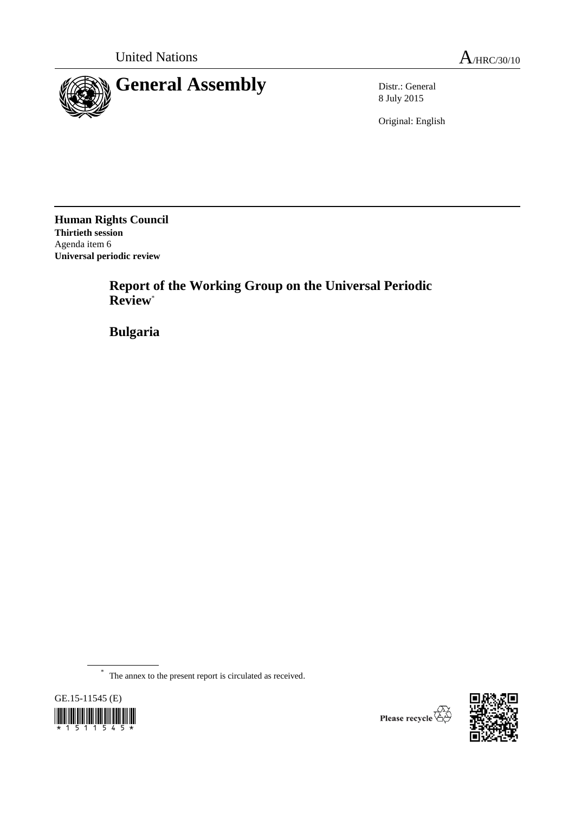

8 July 2015

Original: English

**Human Rights Council Thirtieth session** Agenda item 6 **Universal periodic review**

> **Report of the Working Group on the Universal Periodic Review**\*

**Bulgaria**

\* The annex to the present report is circulated as received.





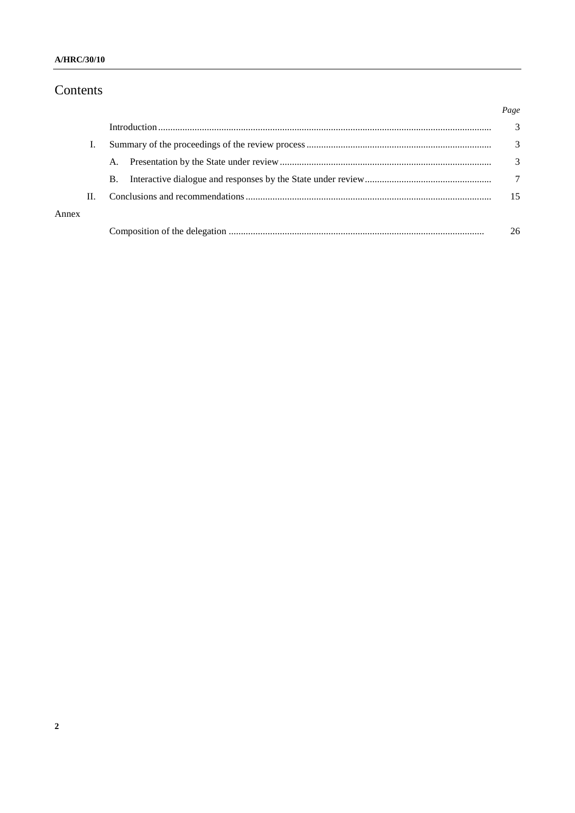# Contents

|       |    |    |  | Page          |
|-------|----|----|--|---------------|
|       |    |    |  | 3             |
|       |    |    |  | 3             |
|       |    | A. |  | $\mathcal{F}$ |
|       |    | B. |  | 7             |
|       | П. |    |  | 15            |
| Annex |    |    |  |               |
|       |    |    |  | 26            |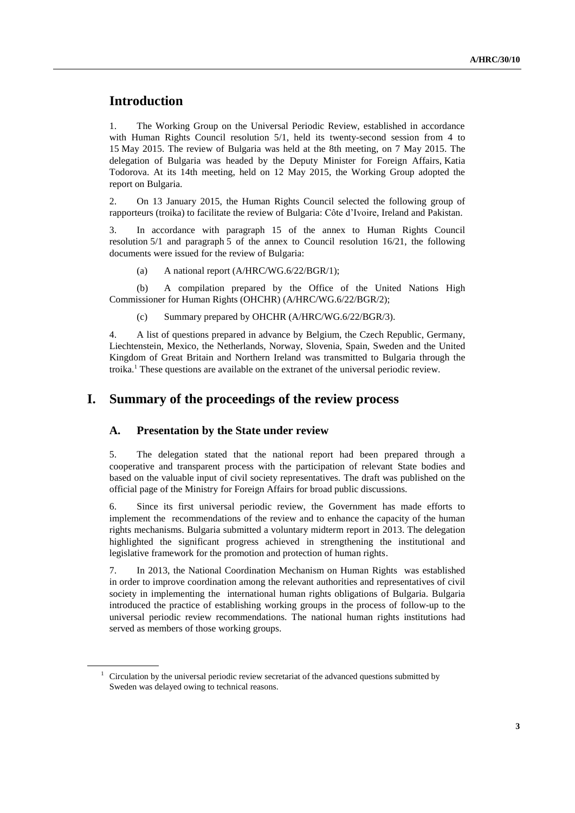# **Introduction**

1. The Working Group on the Universal Periodic Review, established in accordance with Human Rights Council resolution 5/1, held its twenty-second session from 4 to 15 May 2015. The review of Bulgaria was held at the 8th meeting, on 7 May 2015. The delegation of Bulgaria was headed by the Deputy Minister for Foreign Affairs, Katia Todorova. At its 14th meeting, held on 12 May 2015, the Working Group adopted the report on Bulgaria.

2. On 13 January 2015, the Human Rights Council selected the following group of rapporteurs (troika) to facilitate the review of Bulgaria: Côte d'Ivoire, Ireland and Pakistan.

3. In accordance with paragraph 15 of the annex to Human Rights Council resolution 5/1 and paragraph 5 of the annex to Council resolution 16/21, the following documents were issued for the review of Bulgaria:

(a) A national report (A/HRC/WG.6/22/BGR/1);

(b) A compilation prepared by the Office of the United Nations High Commissioner for Human Rights (OHCHR) (A/HRC/WG.6/22/BGR/2);

(c) Summary prepared by OHCHR (A/HRC/WG.6/22/BGR/3).

4. A list of questions prepared in advance by Belgium, the Czech Republic, Germany, Liechtenstein, Mexico, the Netherlands, Norway, Slovenia, Spain, Sweden and the United Kingdom of Great Britain and Northern Ireland was transmitted to Bulgaria through the troika.<sup>1</sup> These questions are available on the extranet of the universal periodic review.

### **I. Summary of the proceedings of the review process**

### **A. Presentation by the State under review**

5. The delegation stated that the national report had been prepared through a cooperative and transparent process with the participation of relevant State bodies and based on the valuable input of civil society representatives. The draft was published on the official page of the Ministry for Foreign Affairs for broad public discussions.

6. Since its first universal periodic review, the Government has made efforts to implement the recommendations of the review and to enhance the capacity of the human rights mechanisms. Bulgaria submitted a voluntary midterm report in 2013. The delegation highlighted the significant progress achieved in strengthening the institutional and legislative framework for the promotion and protection of human rights.

7. In 2013, the National Coordination Mechanism on Human Rights was established in order to improve coordination among the relevant authorities and representatives of civil society in implementing the international human rights obligations of Bulgaria. Bulgaria introduced the practice of establishing working groups in the process of follow-up to the universal periodic review recommendations. The national human rights institutions had served as members of those working groups.

 $1$  Circulation by the universal periodic review secretariat of the advanced questions submitted by Sweden was delayed owing to technical reasons.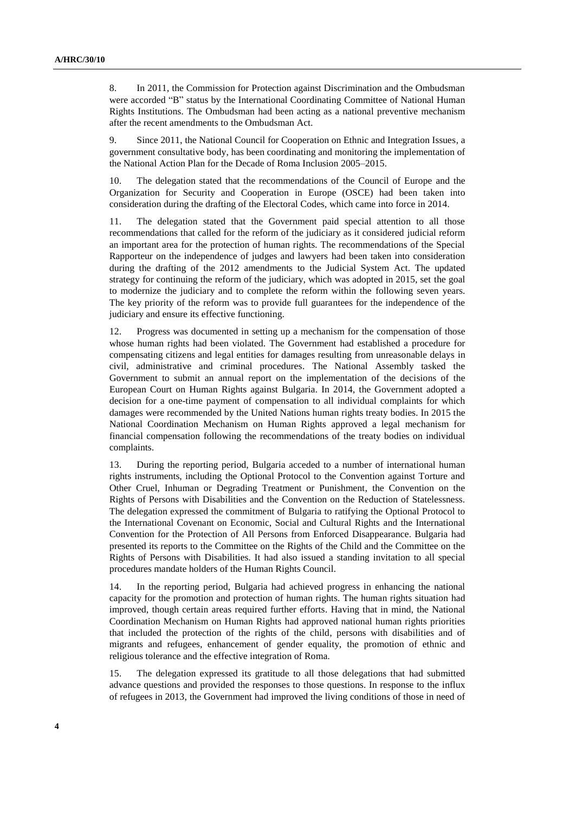8. In 2011, the Commission for Protection against Discrimination and the Ombudsman were accorded "B" status by the International Coordinating Committee of National Human Rights Institutions. The Ombudsman had been acting as a national preventive mechanism after the recent amendments to the Ombudsman Act.

9. Since 2011, the National Council for Cooperation on Ethnic and Integration Issues, a government consultative body, has been coordinating and monitoring the implementation of the National Action Plan for the Decade of Roma Inclusion 2005–2015.

10. The delegation stated that the recommendations of the Council of Europe and the Organization for Security and Cooperation in Europe (OSCE) had been taken into consideration during the drafting of the Electoral Codes, which came into force in 2014.

11. The delegation stated that the Government paid special attention to all those recommendations that called for the reform of the judiciary as it considered judicial reform an important area for the protection of human rights. The recommendations of the Special Rapporteur on the independence of judges and lawyers had been taken into consideration during the drafting of the 2012 amendments to the Judicial System Act. The updated strategy for continuing the reform of the judiciary, which was adopted in 2015, set the goal to modernize the judiciary and to complete the reform within the following seven years. The key priority of the reform was to provide full guarantees for the independence of the judiciary and ensure its effective functioning.

12. Progress was documented in setting up a mechanism for the compensation of those whose human rights had been violated. The Government had established a procedure for compensating citizens and legal entities for damages resulting from unreasonable delays in civil, administrative and criminal procedures. The National Assembly tasked the Government to submit an annual report on the implementation of the decisions of the European Court on Human Rights against Bulgaria. In 2014, the Government adopted a decision for a one-time payment of compensation to all individual complaints for which damages were recommended by the United Nations human rights treaty bodies. In 2015 the National Coordination Mechanism on Human Rights approved a legal mechanism for financial compensation following the recommendations of the treaty bodies on individual complaints.

13. During the reporting period, Bulgaria acceded to a number of international human rights instruments, including the Optional Protocol to the Convention against Torture and Other Cruel, Inhuman or Degrading Treatment or Punishment, the Convention on the Rights of Persons with Disabilities and the Convention on the Reduction of Statelessness. The delegation expressed the commitment of Bulgaria to ratifying the Optional Protocol to the International Covenant on Economic, Social and Cultural Rights and the International Convention for the Protection of All Persons from Enforced Disappearance. Bulgaria had presented its reports to the Committee on the Rights of the Child and the Committee on the Rights of Persons with Disabilities. It had also issued a standing invitation to all special procedures mandate holders of the Human Rights Council.

14. In the reporting period, Bulgaria had achieved progress in enhancing the national capacity for the promotion and protection of human rights. The human rights situation had improved, though certain areas required further efforts. Having that in mind, the National Coordination Mechanism on Human Rights had approved national human rights priorities that included the protection of the rights of the child, persons with disabilities and of migrants and refugees, enhancement of gender equality, the promotion of ethnic and religious tolerance and the effective integration of Roma.

15. The delegation expressed its gratitude to all those delegations that had submitted advance questions and provided the responses to those questions. In response to the influx of refugees in 2013, the Government had improved the living conditions of those in need of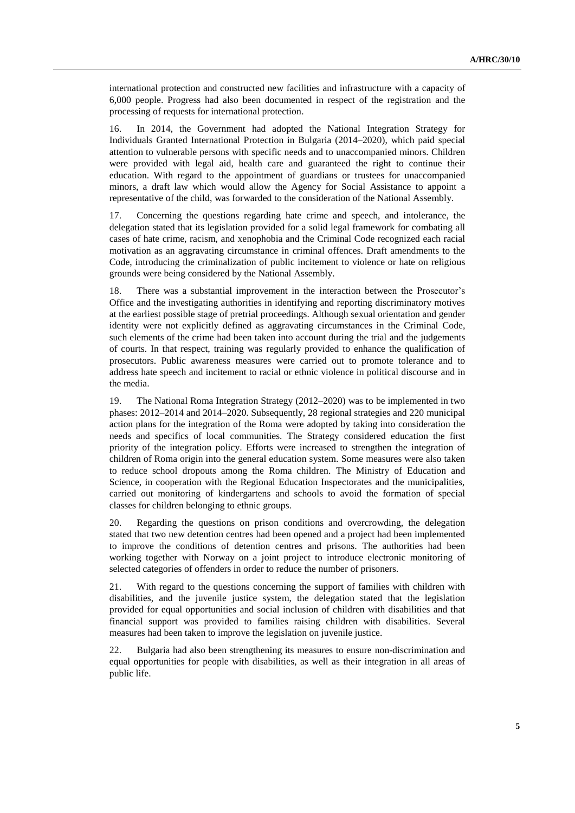international protection and constructed new facilities and infrastructure with a capacity of 6,000 people. Progress had also been documented in respect of the registration and the processing of requests for international protection.

16. In 2014, the Government had adopted the National Integration Strategy for Individuals Granted International Protection in Bulgaria (2014–2020), which paid special attention to vulnerable persons with specific needs and to unaccompanied minors. Children were provided with legal aid, health care and guaranteed the right to continue their education. With regard to the appointment of guardians or trustees for unaccompanied minors, a draft law which would allow the Agency for Social Assistance to appoint a representative of the child, was forwarded to the consideration of the National Assembly.

17. Concerning the questions regarding hate crime and speech, and intolerance, the delegation stated that its legislation provided for a solid legal framework for combating all cases of hate crime, racism, and xenophobia and the Criminal Code recognized each racial motivation as an aggravating circumstance in criminal offences. Draft amendments to the Code, introducing the criminalization of public incitement to violence or hate on religious grounds were being considered by the National Assembly.

18. There was a substantial improvement in the interaction between the Prosecutor's Office and the investigating authorities in identifying and reporting discriminatory motives at the earliest possible stage of pretrial proceedings. Although sexual orientation and gender identity were not explicitly defined as aggravating circumstances in the Criminal Code, such elements of the crime had been taken into account during the trial and the judgements of courts. In that respect, training was regularly provided to enhance the qualification of prosecutors. Public awareness measures were carried out to promote tolerance and to address hate speech and incitement to racial or ethnic violence in political discourse and in the media.

19. The National Roma Integration Strategy (2012–2020) was to be implemented in two phases: 2012–2014 and 2014–2020. Subsequently, 28 regional strategies and 220 municipal action plans for the integration of the Roma were adopted by taking into consideration the needs and specifics of local communities. The Strategy considered education the first priority of the integration policy. Efforts were increased to strengthen the integration of children of Roma origin into the general education system. Some measures were also taken to reduce school dropouts among the Roma children. The Ministry of Education and Science, in cooperation with the Regional Education Inspectorates and the municipalities, carried out monitoring of kindergartens and schools to avoid the formation of special classes for children belonging to ethnic groups.

20. Regarding the questions on prison conditions and overcrowding, the delegation stated that two new detention centres had been opened and a project had been implemented to improve the conditions of detention centres and prisons. The authorities had been working together with Norway on a joint project to introduce electronic monitoring of selected categories of offenders in order to reduce the number of prisoners.

21. With regard to the questions concerning the support of families with children with disabilities, and the juvenile justice system, the delegation stated that the legislation provided for equal opportunities and social inclusion of children with disabilities and that financial support was provided to families raising children with disabilities. Several measures had been taken to improve the legislation on juvenile justice.

22. Bulgaria had also been strengthening its measures to ensure non-discrimination and equal opportunities for people with disabilities, as well as their integration in all areas of public life.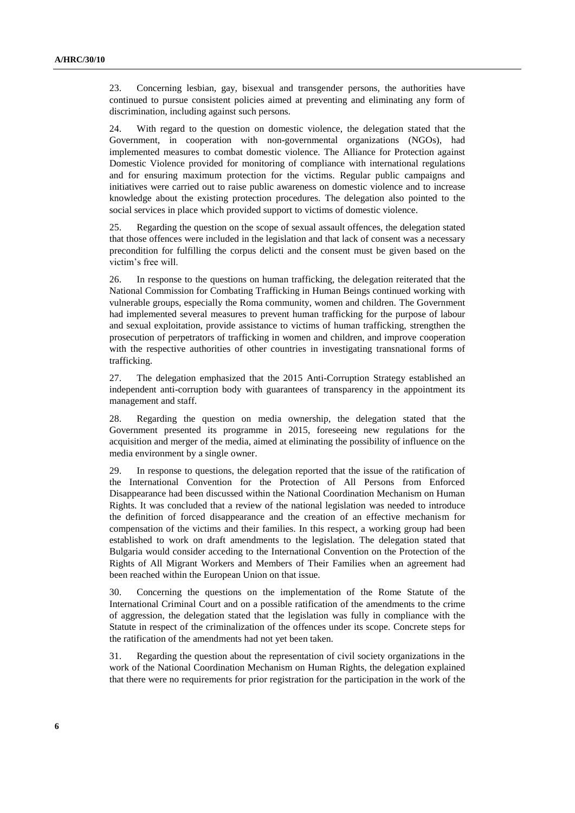23. Concerning lesbian, gay, bisexual and transgender persons, the authorities have continued to pursue consistent policies aimed at preventing and eliminating any form of discrimination, including against such persons.

24. With regard to the question on domestic violence, the delegation stated that the Government, in cooperation with non-governmental organizations (NGOs), had implemented measures to combat domestic violence. The Alliance for Protection against Domestic Violence provided for monitoring of compliance with international regulations and for ensuring maximum protection for the victims. Regular public campaigns and initiatives were carried out to raise public awareness on domestic violence and to increase knowledge about the existing protection procedures. The delegation also pointed to the social services in place which provided support to victims of domestic violence.

25. Regarding the question on the scope of sexual assault offences, the delegation stated that those offences were included in the legislation and that lack of consent was a necessary precondition for fulfilling the corpus delicti and the consent must be given based on the victim's free will.

26. In response to the questions on human trafficking, the delegation reiterated that the National Commission for Combating Trafficking in Human Beings continued working with vulnerable groups, especially the Roma community, women and children. The Government had implemented several measures to prevent human trafficking for the purpose of labour and sexual exploitation, provide assistance to victims of human trafficking, strengthen the prosecution of perpetrators of trafficking in women and children, and improve cooperation with the respective authorities of other countries in investigating transnational forms of trafficking.

27. The delegation emphasized that the 2015 Anti-Corruption Strategy established an independent anti-corruption body with guarantees of transparency in the appointment its management and staff.

28. Regarding the question on media ownership, the delegation stated that the Government presented its programme in 2015, foreseeing new regulations for the acquisition and merger of the media, aimed at eliminating the possibility of influence on the media environment by a single owner.

29. In response to questions, the delegation reported that the issue of the ratification of the International Convention for the Protection of All Persons from Enforced Disappearance had been discussed within the National Coordination Mechanism on Human Rights. It was concluded that a review of the national legislation was needed to introduce the definition of forced disappearance and the creation of an effective mechanism for compensation of the victims and their families. In this respect, a working group had been established to work on draft amendments to the legislation. The delegation stated that Bulgaria would consider acceding to the International Convention on the Protection of the Rights of All Migrant Workers and Members of Their Families when an agreement had been reached within the European Union on that issue.

30. Concerning the questions on the implementation of the Rome Statute of the International Criminal Court and on a possible ratification of the amendments to the crime of aggression, the delegation stated that the legislation was fully in compliance with the Statute in respect of the criminalization of the offences under its scope. Concrete steps for the ratification of the amendments had not yet been taken.

31. Regarding the question about the representation of civil society organizations in the work of the National Coordination Mechanism on Human Rights, the delegation explained that there were no requirements for prior registration for the participation in the work of the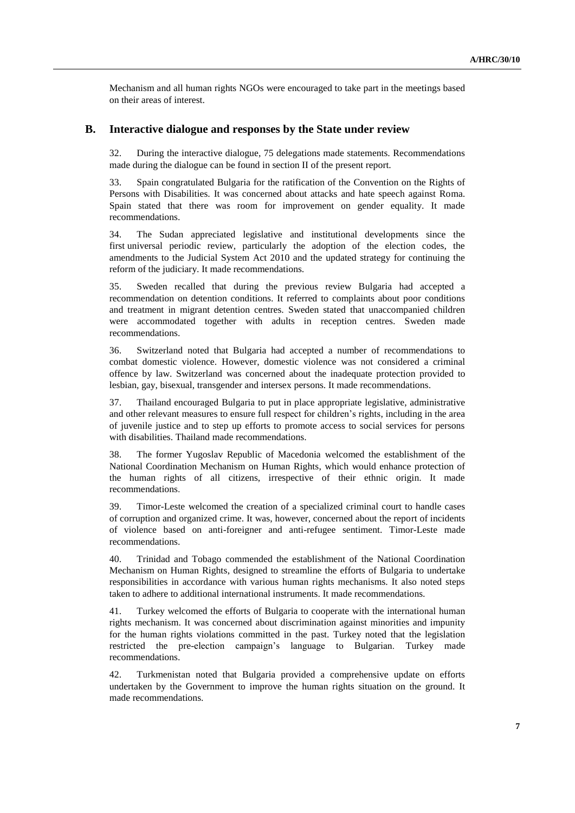Mechanism and all human rights NGOs were encouraged to take part in the meetings based on their areas of interest.

#### **B. Interactive dialogue and responses by the State under review**

32. During the interactive dialogue, 75 delegations made statements. Recommendations made during the dialogue can be found in section II of the present report.

33. Spain congratulated Bulgaria for the ratification of the Convention on the Rights of Persons with Disabilities. It was concerned about attacks and hate speech against Roma. Spain stated that there was room for improvement on gender equality. It made recommendations.

34. The Sudan appreciated legislative and institutional developments since the first universal periodic review, particularly the adoption of the election codes, the amendments to the Judicial System Act 2010 and the updated strategy for continuing the reform of the judiciary. It made recommendations.

35. Sweden recalled that during the previous review Bulgaria had accepted a recommendation on detention conditions. It referred to complaints about poor conditions and treatment in migrant detention centres. Sweden stated that unaccompanied children were accommodated together with adults in reception centres. Sweden made recommendations.

36. Switzerland noted that Bulgaria had accepted a number of recommendations to combat domestic violence. However, domestic violence was not considered a criminal offence by law. Switzerland was concerned about the inadequate protection provided to lesbian, gay, bisexual, transgender and intersex persons. It made recommendations.

37. Thailand encouraged Bulgaria to put in place appropriate legislative, administrative and other relevant measures to ensure full respect for children's rights, including in the area of juvenile justice and to step up efforts to promote access to social services for persons with disabilities. Thailand made recommendations.

38. The former Yugoslav Republic of Macedonia welcomed the establishment of the National Coordination Mechanism on Human Rights, which would enhance protection of the human rights of all citizens, irrespective of their ethnic origin. It made recommendations.

39. Timor-Leste welcomed the creation of a specialized criminal court to handle cases of corruption and organized crime. It was, however, concerned about the report of incidents of violence based on anti-foreigner and anti-refugee sentiment. Timor-Leste made recommendations.

40. Trinidad and Tobago commended the establishment of the National Coordination Mechanism on Human Rights, designed to streamline the efforts of Bulgaria to undertake responsibilities in accordance with various human rights mechanisms. It also noted steps taken to adhere to additional international instruments. It made recommendations.

41. Turkey welcomed the efforts of Bulgaria to cooperate with the international human rights mechanism. It was concerned about discrimination against minorities and impunity for the human rights violations committed in the past. Turkey noted that the legislation restricted the pre-election campaign's language to Bulgarian. Turkey made recommendations.

42. Turkmenistan noted that Bulgaria provided a comprehensive update on efforts undertaken by the Government to improve the human rights situation on the ground. It made recommendations.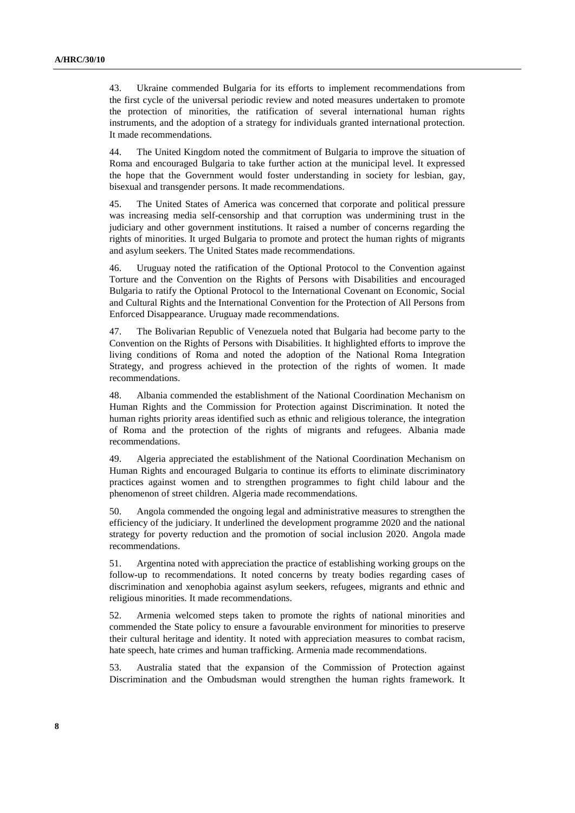43. Ukraine commended Bulgaria for its efforts to implement recommendations from the first cycle of the universal periodic review and noted measures undertaken to promote the protection of minorities, the ratification of several international human rights instruments, and the adoption of a strategy for individuals granted international protection. It made recommendations.

44. The United Kingdom noted the commitment of Bulgaria to improve the situation of Roma and encouraged Bulgaria to take further action at the municipal level. It expressed the hope that the Government would foster understanding in society for lesbian, gay, bisexual and transgender persons. It made recommendations.

45. The United States of America was concerned that corporate and political pressure was increasing media self-censorship and that corruption was undermining trust in the judiciary and other government institutions. It raised a number of concerns regarding the rights of minorities. It urged Bulgaria to promote and protect the human rights of migrants and asylum seekers. The United States made recommendations.

46. Uruguay noted the ratification of the Optional Protocol to the Convention against Torture and the Convention on the Rights of Persons with Disabilities and encouraged Bulgaria to ratify the Optional Protocol to the International Covenant on Economic, Social and Cultural Rights and the International Convention for the Protection of All Persons from Enforced Disappearance. Uruguay made recommendations.

47. The Bolivarian Republic of Venezuela noted that Bulgaria had become party to the Convention on the Rights of Persons with Disabilities. It highlighted efforts to improve the living conditions of Roma and noted the adoption of the National Roma Integration Strategy, and progress achieved in the protection of the rights of women. It made recommendations.

48. Albania commended the establishment of the National Coordination Mechanism on Human Rights and the Commission for Protection against Discrimination. It noted the human rights priority areas identified such as ethnic and religious tolerance, the integration of Roma and the protection of the rights of migrants and refugees. Albania made recommendations.

49. Algeria appreciated the establishment of the National Coordination Mechanism on Human Rights and encouraged Bulgaria to continue its efforts to eliminate discriminatory practices against women and to strengthen programmes to fight child labour and the phenomenon of street children. Algeria made recommendations.

50. Angola commended the ongoing legal and administrative measures to strengthen the efficiency of the judiciary. It underlined the development programme 2020 and the national strategy for poverty reduction and the promotion of social inclusion 2020. Angola made recommendations.

51. Argentina noted with appreciation the practice of establishing working groups on the follow-up to recommendations. It noted concerns by treaty bodies regarding cases of discrimination and xenophobia against asylum seekers, refugees, migrants and ethnic and religious minorities. It made recommendations.

52. Armenia welcomed steps taken to promote the rights of national minorities and commended the State policy to ensure a favourable environment for minorities to preserve their cultural heritage and identity. It noted with appreciation measures to combat racism, hate speech, hate crimes and human trafficking. Armenia made recommendations.

53. Australia stated that the expansion of the Commission of Protection against Discrimination and the Ombudsman would strengthen the human rights framework. It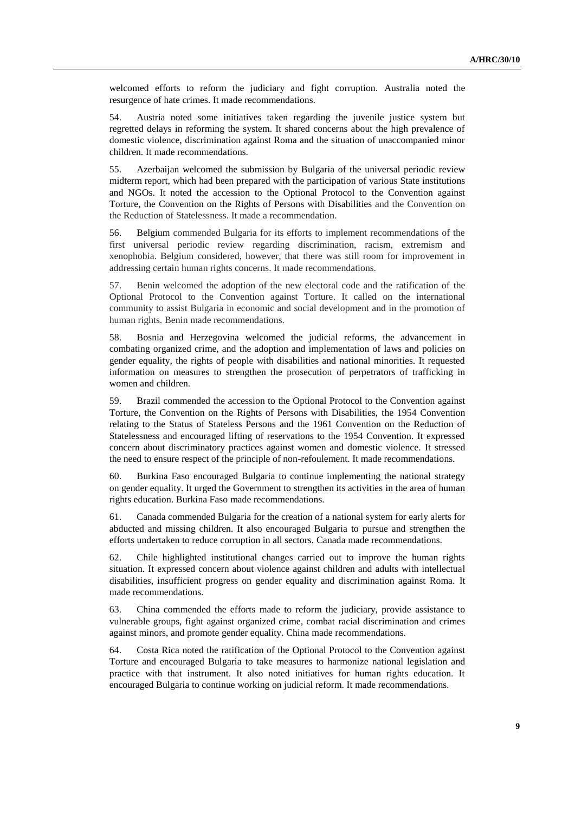welcomed efforts to reform the judiciary and fight corruption. Australia noted the resurgence of hate crimes. It made recommendations.

54. Austria noted some initiatives taken regarding the juvenile justice system but regretted delays in reforming the system. It shared concerns about the high prevalence of domestic violence, discrimination against Roma and the situation of unaccompanied minor children. It made recommendations.

55. Azerbaijan welcomed the submission by Bulgaria of the universal periodic review midterm report, which had been prepared with the participation of various State institutions and NGOs. It noted the accession to the Optional Protocol to the Convention against Torture, the Convention on the Rights of Persons with Disabilities and the Convention on the Reduction of Statelessness. It made a recommendation.

56. Belgium commended Bulgaria for its efforts to implement recommendations of the first universal periodic review regarding discrimination, racism, extremism and xenophobia. Belgium considered, however, that there was still room for improvement in addressing certain human rights concerns. It made recommendations.

57. Benin welcomed the adoption of the new electoral code and the ratification of the Optional Protocol to the Convention against Torture. It called on the international community to assist Bulgaria in economic and social development and in the promotion of human rights. Benin made recommendations.

58. Bosnia and Herzegovina welcomed the judicial reforms, the advancement in combating organized crime, and the adoption and implementation of laws and policies on gender equality, the rights of people with disabilities and national minorities. It requested information on measures to strengthen the prosecution of perpetrators of trafficking in women and children.

59. Brazil commended the accession to the Optional Protocol to the Convention against Torture, the Convention on the Rights of Persons with Disabilities, the 1954 Convention relating to the Status of Stateless Persons and the 1961 Convention on the Reduction of Statelessness and encouraged lifting of reservations to the 1954 Convention. It expressed concern about discriminatory practices against women and domestic violence. It stressed the need to ensure respect of the principle of non-refoulement. It made recommendations.

60. Burkina Faso encouraged Bulgaria to continue implementing the national strategy on gender equality. It urged the Government to strengthen its activities in the area of human rights education. Burkina Faso made recommendations.

61. Canada commended Bulgaria for the creation of a national system for early alerts for abducted and missing children. It also encouraged Bulgaria to pursue and strengthen the efforts undertaken to reduce corruption in all sectors. Canada made recommendations.

62. Chile highlighted institutional changes carried out to improve the human rights situation. It expressed concern about violence against children and adults with intellectual disabilities, insufficient progress on gender equality and discrimination against Roma. It made recommendations.

63. China commended the efforts made to reform the judiciary, provide assistance to vulnerable groups, fight against organized crime, combat racial discrimination and crimes against minors, and promote gender equality. China made recommendations.

64. Costa Rica noted the ratification of the Optional Protocol to the Convention against Torture and encouraged Bulgaria to take measures to harmonize national legislation and practice with that instrument. It also noted initiatives for human rights education. It encouraged Bulgaria to continue working on judicial reform. It made recommendations.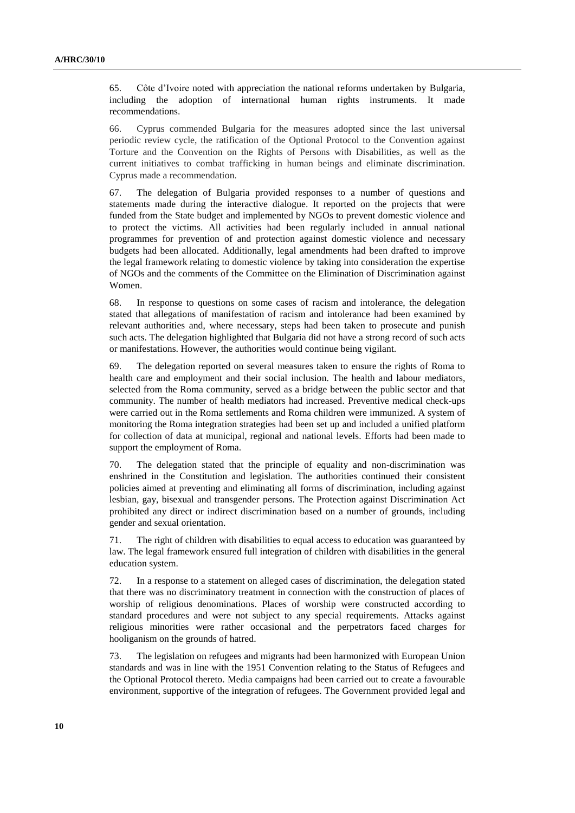65. Côte d'Ivoire noted with appreciation the national reforms undertaken by Bulgaria, including the adoption of international human rights instruments. It made recommendations.

66. Cyprus commended Bulgaria for the measures adopted since the last universal periodic review cycle, the ratification of the Optional Protocol to the Convention against Torture and the Convention on the Rights of Persons with Disabilities, as well as the current initiatives to combat trafficking in human beings and eliminate discrimination. Cyprus made a recommendation.

67. The delegation of Bulgaria provided responses to a number of questions and statements made during the interactive dialogue. It reported on the projects that were funded from the State budget and implemented by NGOs to prevent domestic violence and to protect the victims. All activities had been regularly included in annual national programmes for prevention of and protection against domestic violence and necessary budgets had been allocated. Additionally, legal amendments had been drafted to improve the legal framework relating to domestic violence by taking into consideration the expertise of NGOs and the comments of the Committee on the Elimination of Discrimination against Women.

68. In response to questions on some cases of racism and intolerance, the delegation stated that allegations of manifestation of racism and intolerance had been examined by relevant authorities and, where necessary, steps had been taken to prosecute and punish such acts. The delegation highlighted that Bulgaria did not have a strong record of such acts or manifestations. However, the authorities would continue being vigilant.

69. The delegation reported on several measures taken to ensure the rights of Roma to health care and employment and their social inclusion. The health and labour mediators, selected from the Roma community, served as a bridge between the public sector and that community. The number of health mediators had increased. Preventive medical check-ups were carried out in the Roma settlements and Roma children were immunized. A system of monitoring the Roma integration strategies had been set up and included a unified platform for collection of data at municipal, regional and national levels. Efforts had been made to support the employment of Roma.

70. The delegation stated that the principle of equality and non-discrimination was enshrined in the Constitution and legislation. The authorities continued their consistent policies aimed at preventing and eliminating all forms of discrimination, including against lesbian, gay, bisexual and transgender persons. The Protection against Discrimination Act prohibited any direct or indirect discrimination based on a number of grounds, including gender and sexual orientation.

71. The right of children with disabilities to equal access to education was guaranteed by law. The legal framework ensured full integration of children with disabilities in the general education system.

72. In a response to a statement on alleged cases of discrimination, the delegation stated that there was no discriminatory treatment in connection with the construction of places of worship of religious denominations. Places of worship were constructed according to standard procedures and were not subject to any special requirements. Attacks against religious minorities were rather occasional and the perpetrators faced charges for hooliganism on the grounds of hatred.

73. The legislation on refugees and migrants had been harmonized with European Union standards and was in line with the 1951 Convention relating to the Status of Refugees and the Optional Protocol thereto. Media campaigns had been carried out to create a favourable environment, supportive of the integration of refugees. The Government provided legal and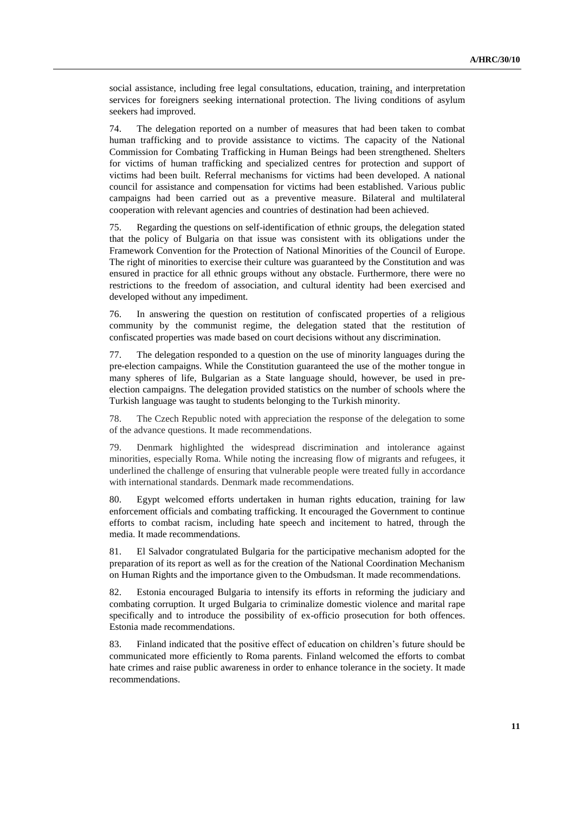social assistance, including free legal consultations, education, training*,* and interpretation services for foreigners seeking international protection. The living conditions of asylum seekers had improved.

74. The delegation reported on a number of measures that had been taken to combat human trafficking and to provide assistance to victims. The capacity of the National Commission for Combating Trafficking in Human Beings had been strengthened. Shelters for victims of human trafficking and specialized centres for protection and support of victims had been built. Referral mechanisms for victims had been developed. A national council for assistance and compensation for victims had been established. Various public campaigns had been carried out as a preventive measure. Bilateral and multilateral cooperation with relevant agencies and countries of destination had been achieved.

75. Regarding the questions on self-identification of ethnic groups, the delegation stated that the policy of Bulgaria on that issue was consistent with its obligations under the Framework Convention for the Protection of National Minorities of the Council of Europe. The right of minorities to exercise their culture was guaranteed by the Constitution and was ensured in practice for all ethnic groups without any obstacle. Furthermore, there were no restrictions to the freedom of association, and cultural identity had been exercised and developed without any impediment.

76. In answering the question on restitution of confiscated properties of a religious community by the communist regime, the delegation stated that the restitution of confiscated properties was made based on court decisions without any discrimination.

77. The delegation responded to a question on the use of minority languages during the pre-election campaigns. While the Constitution guaranteed the use of the mother tongue in many spheres of life, Bulgarian as a State language should, however, be used in preelection campaigns. The delegation provided statistics on the number of schools where the Turkish language was taught to students belonging to the Turkish minority.

78. The Czech Republic noted with appreciation the response of the delegation to some of the advance questions. It made recommendations.

79. Denmark highlighted the widespread discrimination and intolerance against minorities, especially Roma. While noting the increasing flow of migrants and refugees, it underlined the challenge of ensuring that vulnerable people were treated fully in accordance with international standards. Denmark made recommendations.

80. Egypt welcomed efforts undertaken in human rights education, training for law enforcement officials and combating trafficking. It encouraged the Government to continue efforts to combat racism, including hate speech and incitement to hatred, through the media. It made recommendations.

81. El Salvador congratulated Bulgaria for the participative mechanism adopted for the preparation of its report as well as for the creation of the National Coordination Mechanism on Human Rights and the importance given to the Ombudsman. It made recommendations.

82. Estonia encouraged Bulgaria to intensify its efforts in reforming the judiciary and combating corruption. It urged Bulgaria to criminalize domestic violence and marital rape specifically and to introduce the possibility of ex-officio prosecution for both offences. Estonia made recommendations.

83. Finland indicated that the positive effect of education on children's future should be communicated more efficiently to Roma parents. Finland welcomed the efforts to combat hate crimes and raise public awareness in order to enhance tolerance in the society. It made recommendations.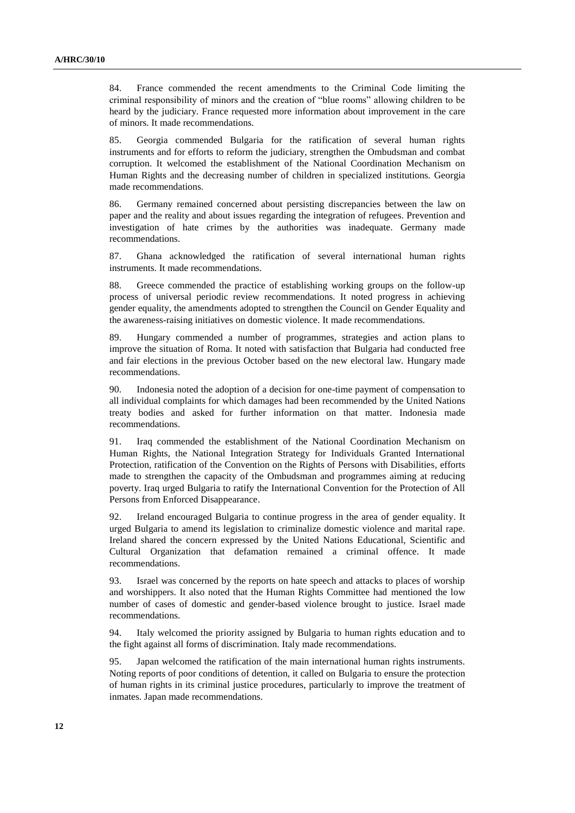84. France commended the recent amendments to the Criminal Code limiting the criminal responsibility of minors and the creation of "blue rooms" allowing children to be heard by the judiciary. France requested more information about improvement in the care of minors. It made recommendations.

85. Georgia commended Bulgaria for the ratification of several human rights instruments and for efforts to reform the judiciary, strengthen the Ombudsman and combat corruption. It welcomed the establishment of the National Coordination Mechanism on Human Rights and the decreasing number of children in specialized institutions. Georgia made recommendations.

86. Germany remained concerned about persisting discrepancies between the law on paper and the reality and about issues regarding the integration of refugees. Prevention and investigation of hate crimes by the authorities was inadequate. Germany made recommendations.

87. Ghana acknowledged the ratification of several international human rights instruments. It made recommendations.

88. Greece commended the practice of establishing working groups on the follow-up process of universal periodic review recommendations. It noted progress in achieving gender equality, the amendments adopted to strengthen the Council on Gender Equality and the awareness-raising initiatives on domestic violence. It made recommendations.

89. Hungary commended a number of programmes, strategies and action plans to improve the situation of Roma. It noted with satisfaction that Bulgaria had conducted free and fair elections in the previous October based on the new electoral law. Hungary made recommendations.

90. Indonesia noted the adoption of a decision for one-time payment of compensation to all individual complaints for which damages had been recommended by the United Nations treaty bodies and asked for further information on that matter. Indonesia made recommendations.

91. Iraq commended the establishment of the National Coordination Mechanism on Human Rights, the National Integration Strategy for Individuals Granted International Protection, ratification of the Convention on the Rights of Persons with Disabilities, efforts made to strengthen the capacity of the Ombudsman and programmes aiming at reducing poverty. Iraq urged Bulgaria to ratify the International Convention for the Protection of All Persons from Enforced Disappearance.

92. Ireland encouraged Bulgaria to continue progress in the area of gender equality. It urged Bulgaria to amend its legislation to criminalize domestic violence and marital rape. Ireland shared the concern expressed by the United Nations Educational, Scientific and Cultural Organization that defamation remained a criminal offence. It made recommendations.

93. Israel was concerned by the reports on hate speech and attacks to places of worship and worshippers. It also noted that the Human Rights Committee had mentioned the low number of cases of domestic and gender-based violence brought to justice. Israel made recommendations.

94. Italy welcomed the priority assigned by Bulgaria to human rights education and to the fight against all forms of discrimination. Italy made recommendations.

95. Japan welcomed the ratification of the main international human rights instruments. Noting reports of poor conditions of detention, it called on Bulgaria to ensure the protection of human rights in its criminal justice procedures, particularly to improve the treatment of inmates. Japan made recommendations.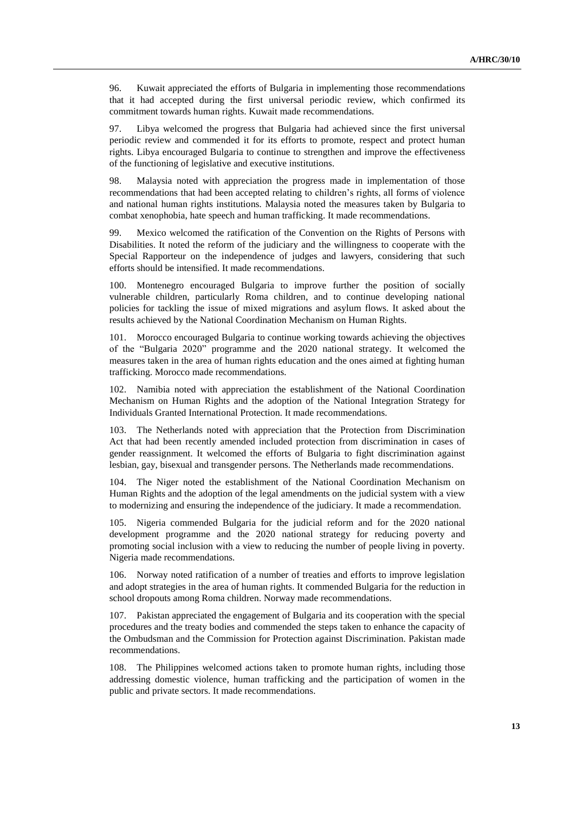96. Kuwait appreciated the efforts of Bulgaria in implementing those recommendations that it had accepted during the first universal periodic review, which confirmed its commitment towards human rights. Kuwait made recommendations.

97. Libya welcomed the progress that Bulgaria had achieved since the first universal periodic review and commended it for its efforts to promote, respect and protect human rights. Libya encouraged Bulgaria to continue to strengthen and improve the effectiveness of the functioning of legislative and executive institutions.

98. Malaysia noted with appreciation the progress made in implementation of those recommendations that had been accepted relating to children's rights, all forms of violence and national human rights institutions. Malaysia noted the measures taken by Bulgaria to combat xenophobia, hate speech and human trafficking. It made recommendations.

99. Mexico welcomed the ratification of the Convention on the Rights of Persons with Disabilities. It noted the reform of the judiciary and the willingness to cooperate with the Special Rapporteur on the independence of judges and lawyers, considering that such efforts should be intensified. It made recommendations.

100. Montenegro encouraged Bulgaria to improve further the position of socially vulnerable children, particularly Roma children, and to continue developing national policies for tackling the issue of mixed migrations and asylum flows. It asked about the results achieved by the National Coordination Mechanism on Human Rights.

101. Morocco encouraged Bulgaria to continue working towards achieving the objectives of the "Bulgaria 2020" programme and the 2020 national strategy. It welcomed the measures taken in the area of human rights education and the ones aimed at fighting human trafficking. Morocco made recommendations.

102. Namibia noted with appreciation the establishment of the National Coordination Mechanism on Human Rights and the adoption of the National Integration Strategy for Individuals Granted International Protection. It made recommendations.

103. The Netherlands noted with appreciation that the Protection from Discrimination Act that had been recently amended included protection from discrimination in cases of gender reassignment. It welcomed the efforts of Bulgaria to fight discrimination against lesbian, gay, bisexual and transgender persons. The Netherlands made recommendations.

104. The Niger noted the establishment of the National Coordination Mechanism on Human Rights and the adoption of the legal amendments on the judicial system with a view to modernizing and ensuring the independence of the judiciary. It made a recommendation.

105. Nigeria commended Bulgaria for the judicial reform and for the 2020 national development programme and the 2020 national strategy for reducing poverty and promoting social inclusion with a view to reducing the number of people living in poverty. Nigeria made recommendations.

106. Norway noted ratification of a number of treaties and efforts to improve legislation and adopt strategies in the area of human rights. It commended Bulgaria for the reduction in school dropouts among Roma children. Norway made recommendations.

107. Pakistan appreciated the engagement of Bulgaria and its cooperation with the special procedures and the treaty bodies and commended the steps taken to enhance the capacity of the Ombudsman and the Commission for Protection against Discrimination. Pakistan made recommendations.

108. The Philippines welcomed actions taken to promote human rights, including those addressing domestic violence, human trafficking and the participation of women in the public and private sectors. It made recommendations.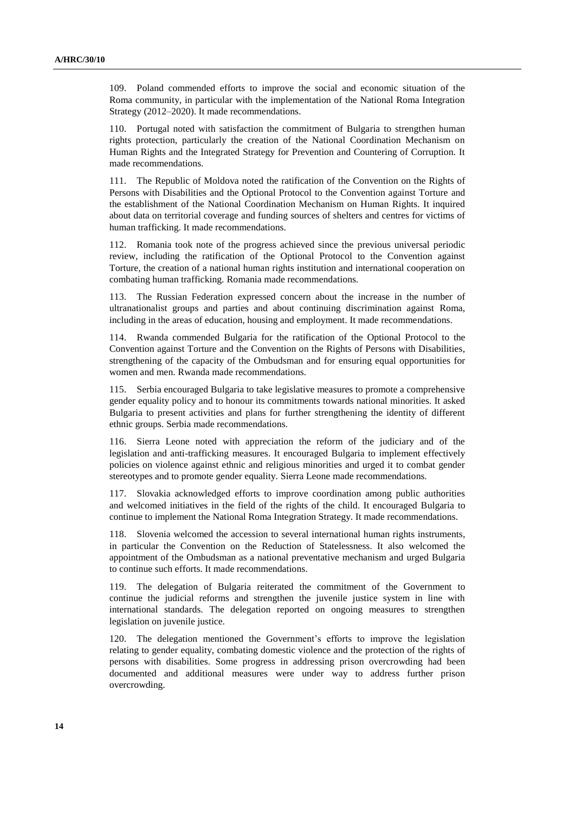109. Poland commended efforts to improve the social and economic situation of the Roma community, in particular with the implementation of the National Roma Integration Strategy (2012–2020). It made recommendations.

110. Portugal noted with satisfaction the commitment of Bulgaria to strengthen human rights protection, particularly the creation of the National Coordination Mechanism on Human Rights and the Integrated Strategy for Prevention and Countering of Corruption. It made recommendations.

111. The Republic of Moldova noted the ratification of the Convention on the Rights of Persons with Disabilities and the Optional Protocol to the Convention against Torture and the establishment of the National Coordination Mechanism on Human Rights. It inquired about data on territorial coverage and funding sources of shelters and centres for victims of human trafficking. It made recommendations.

112. Romania took note of the progress achieved since the previous universal periodic review, including the ratification of the Optional Protocol to the Convention against Torture, the creation of a national human rights institution and international cooperation on combating human trafficking. Romania made recommendations.

113. The Russian Federation expressed concern about the increase in the number of ultranationalist groups and parties and about continuing discrimination against Roma, including in the areas of education, housing and employment. It made recommendations.

114. Rwanda commended Bulgaria for the ratification of the Optional Protocol to the Convention against Torture and the Convention on the Rights of Persons with Disabilities, strengthening of the capacity of the Ombudsman and for ensuring equal opportunities for women and men. Rwanda made recommendations.

115. Serbia encouraged Bulgaria to take legislative measures to promote a comprehensive gender equality policy and to honour its commitments towards national minorities. It asked Bulgaria to present activities and plans for further strengthening the identity of different ethnic groups. Serbia made recommendations.

116. Sierra Leone noted with appreciation the reform of the judiciary and of the legislation and anti-trafficking measures. It encouraged Bulgaria to implement effectively policies on violence against ethnic and religious minorities and urged it to combat gender stereotypes and to promote gender equality. Sierra Leone made recommendations.

117. Slovakia acknowledged efforts to improve coordination among public authorities and welcomed initiatives in the field of the rights of the child. It encouraged Bulgaria to continue to implement the National Roma Integration Strategy. It made recommendations.

118. Slovenia welcomed the accession to several international human rights instruments, in particular the Convention on the Reduction of Statelessness. It also welcomed the appointment of the Ombudsman as a national preventative mechanism and urged Bulgaria to continue such efforts. It made recommendations.

119. The delegation of Bulgaria reiterated the commitment of the Government to continue the judicial reforms and strengthen the juvenile justice system in line with international standards. The delegation reported on ongoing measures to strengthen legislation on juvenile justice.

120. The delegation mentioned the Government's efforts to improve the legislation relating to gender equality, combating domestic violence and the protection of the rights of persons with disabilities. Some progress in addressing prison overcrowding had been documented and additional measures were under way to address further prison overcrowding.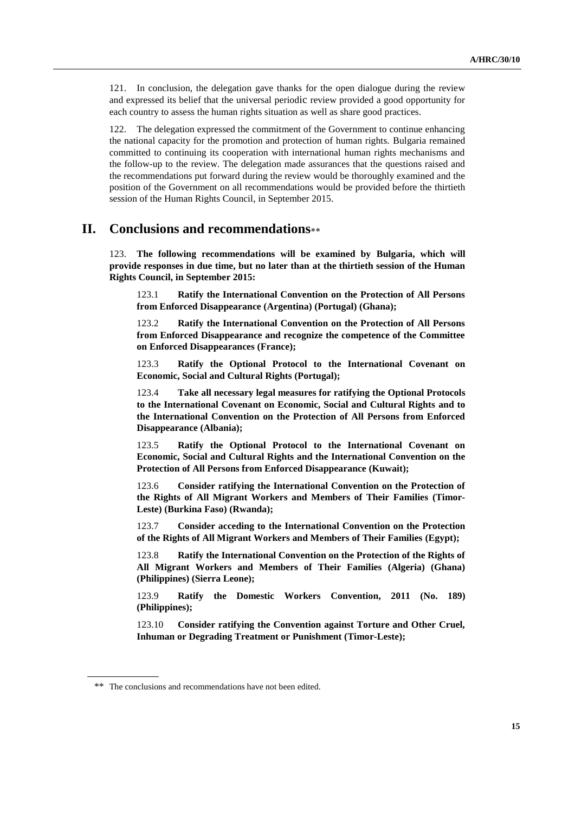121. In conclusion, the delegation gave thanks for the open dialogue during the review and expressed its belief that the universal periodic review provided a good opportunity for each country to assess the human rights situation as well as share good practices.

122. The delegation expressed the commitment of the Government to continue enhancing the national capacity for the promotion and protection of human rights. Bulgaria remained committed to continuing its cooperation with international human rights mechanisms and the follow-up to the review. The delegation made assurances that the questions raised and the recommendations put forward during the review would be thoroughly examined and the position of the Government on all recommendations would be provided before the thirtieth session of the Human Rights Council, in September 2015.

## **II. Conclusions and recommendations**

123. **The following recommendations will be examined by Bulgaria, which will provide responses in due time, but no later than at the thirtieth session of the Human Rights Council, in September 2015:**

123.1 **Ratify the International Convention on the Protection of All Persons from Enforced Disappearance (Argentina) (Portugal) (Ghana);**

123.2 **Ratify the International Convention on the Protection of All Persons from Enforced Disappearance and recognize the competence of the Committee on Enforced Disappearances (France);**

123.3 **Ratify the Optional Protocol to the International Covenant on Economic, Social and Cultural Rights (Portugal);**

123.4 **Take all necessary legal measures for ratifying the Optional Protocols to the International Covenant on Economic, Social and Cultural Rights and to the International Convention on the Protection of All Persons from Enforced Disappearance (Albania);**

123.5 **Ratify the Optional Protocol to the International Covenant on Economic, Social and Cultural Rights and the International Convention on the Protection of All Persons from Enforced Disappearance (Kuwait);**

123.6 **Consider ratifying the International Convention on the Protection of the Rights of All Migrant Workers and Members of Their Families (Timor-Leste) (Burkina Faso) (Rwanda);**

123.7 **Consider acceding to the International Convention on the Protection of the Rights of All Migrant Workers and Members of Their Families (Egypt);**

123.8 **Ratify the International Convention on the Protection of the Rights of All Migrant Workers and Members of Their Families (Algeria) (Ghana) (Philippines) (Sierra Leone);**

123.9 **Ratify the Domestic Workers Convention, 2011 (No. 189) (Philippines);**

123.10 **Consider ratifying the Convention against Torture and Other Cruel, Inhuman or Degrading Treatment or Punishment (Timor-Leste);**

<sup>\*\*</sup> The conclusions and recommendations have not been edited.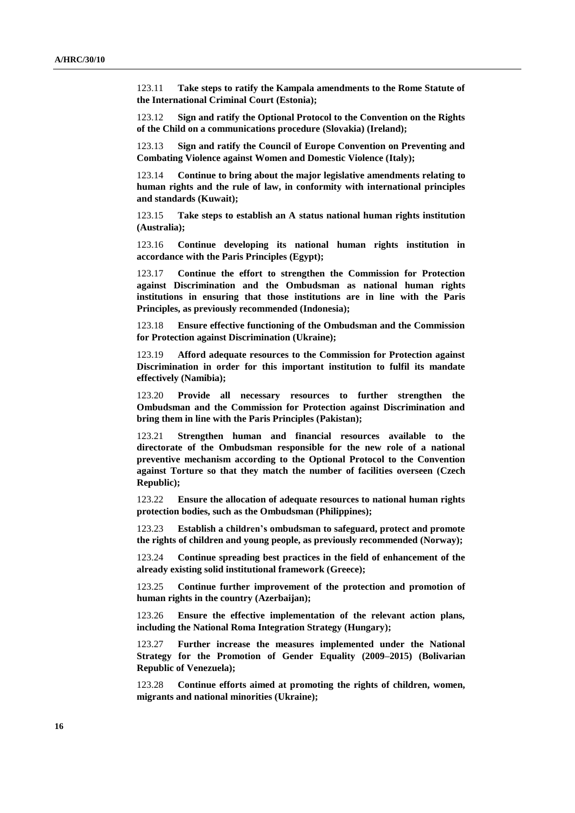123.11 **Take steps to ratify the Kampala amendments to the Rome Statute of the International Criminal Court (Estonia);**

123.12 **Sign and ratify the Optional Protocol to the Convention on the Rights of the Child on a communications procedure (Slovakia) (Ireland);**

123.13 **Sign and ratify the Council of Europe Convention on Preventing and Combating Violence against Women and Domestic Violence (Italy);**

123.14 **Continue to bring about the major legislative amendments relating to human rights and the rule of law, in conformity with international principles and standards (Kuwait);**

123.15 **Take steps to establish an A status national human rights institution (Australia);**

123.16 **Continue developing its national human rights institution in accordance with the Paris Principles (Egypt);**

123.17 **Continue the effort to strengthen the Commission for Protection against Discrimination and the Ombudsman as national human rights institutions in ensuring that those institutions are in line with the Paris Principles, as previously recommended (Indonesia);**

123.18 **Ensure effective functioning of the Ombudsman and the Commission for Protection against Discrimination (Ukraine);**

123.19 **Afford adequate resources to the Commission for Protection against Discrimination in order for this important institution to fulfil its mandate effectively (Namibia);**

123.20 **Provide all necessary resources to further strengthen the Ombudsman and the Commission for Protection against Discrimination and bring them in line with the Paris Principles (Pakistan);**

123.21 **Strengthen human and financial resources available to the directorate of the Ombudsman responsible for the new role of a national preventive mechanism according to the Optional Protocol to the Convention against Torture so that they match the number of facilities overseen (Czech Republic);**

123.22 **Ensure the allocation of adequate resources to national human rights protection bodies, such as the Ombudsman (Philippines);**

123.23 **Establish a children's ombudsman to safeguard, protect and promote the rights of children and young people, as previously recommended (Norway);**

123.24 **Continue spreading best practices in the field of enhancement of the already existing solid institutional framework (Greece);**

123.25 **Continue further improvement of the protection and promotion of human rights in the country (Azerbaijan);**

123.26 **Ensure the effective implementation of the relevant action plans, including the National Roma Integration Strategy (Hungary);**

123.27 **Further increase the measures implemented under the National Strategy for the Promotion of Gender Equality (2009–2015) (Bolivarian Republic of Venezuela);**

123.28 **Continue efforts aimed at promoting the rights of children, women, migrants and national minorities (Ukraine);**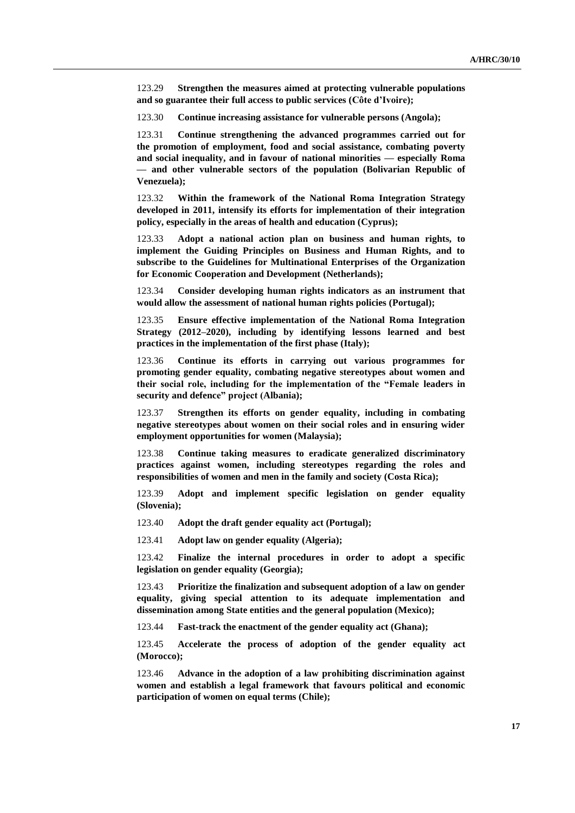123.29 **Strengthen the measures aimed at protecting vulnerable populations and so guarantee their full access to public services (Côte d'Ivoire);**

123.30 **Continue increasing assistance for vulnerable persons (Angola);**

123.31 **Continue strengthening the advanced programmes carried out for the promotion of employment, food and social assistance, combating poverty and social inequality, and in favour of national minorities — especially Roma — and other vulnerable sectors of the population (Bolivarian Republic of Venezuela);**

123.32 **Within the framework of the National Roma Integration Strategy developed in 2011, intensify its efforts for implementation of their integration policy, especially in the areas of health and education (Cyprus);**

123.33 **Adopt a national action plan on business and human rights, to implement the Guiding Principles on Business and Human Rights, and to subscribe to the Guidelines for Multinational Enterprises of the Organization for Economic Cooperation and Development (Netherlands);**

123.34 **Consider developing human rights indicators as an instrument that would allow the assessment of national human rights policies (Portugal);**

123.35 **Ensure effective implementation of the National Roma Integration Strategy (2012–2020), including by identifying lessons learned and best practices in the implementation of the first phase (Italy);**

123.36 **Continue its efforts in carrying out various programmes for promoting gender equality, combating negative stereotypes about women and their social role, including for the implementation of the "Female leaders in security and defence" project (Albania);**

123.37 **Strengthen its efforts on gender equality, including in combating negative stereotypes about women on their social roles and in ensuring wider employment opportunities for women (Malaysia);**

123.38 **Continue taking measures to eradicate generalized discriminatory practices against women, including stereotypes regarding the roles and responsibilities of women and men in the family and society (Costa Rica);**

123.39 **Adopt and implement specific legislation on gender equality (Slovenia);**

123.40 **Adopt the draft gender equality act (Portugal);**

123.41 **Adopt law on gender equality (Algeria);**

123.42 **Finalize the internal procedures in order to adopt a specific legislation on gender equality (Georgia);**

123.43 **Prioritize the finalization and subsequent adoption of a law on gender equality, giving special attention to its adequate implementation and dissemination among State entities and the general population (Mexico);**

123.44 **Fast-track the enactment of the gender equality act (Ghana);**

123.45 **Accelerate the process of adoption of the gender equality act (Morocco);**

123.46 **Advance in the adoption of a law prohibiting discrimination against women and establish a legal framework that favours political and economic participation of women on equal terms (Chile);**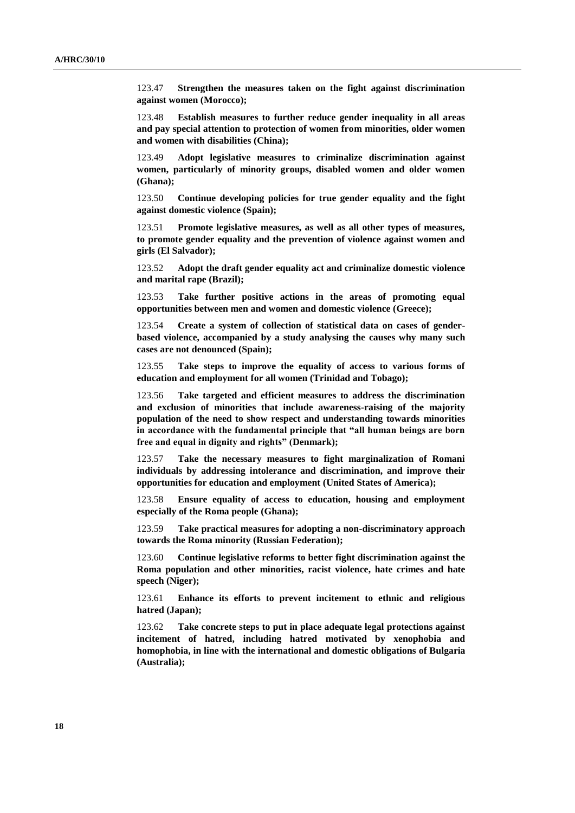123.47 **Strengthen the measures taken on the fight against discrimination against women (Morocco);**

123.48 **Establish measures to further reduce gender inequality in all areas and pay special attention to protection of women from minorities, older women and women with disabilities (China);**

123.49 **Adopt legislative measures to criminalize discrimination against women, particularly of minority groups, disabled women and older women (Ghana);**

123.50 **Continue developing policies for true gender equality and the fight against domestic violence (Spain);**

123.51 **Promote legislative measures, as well as all other types of measures, to promote gender equality and the prevention of violence against women and girls (El Salvador);**

123.52 **Adopt the draft gender equality act and criminalize domestic violence and marital rape (Brazil);**

123.53 **Take further positive actions in the areas of promoting equal opportunities between men and women and domestic violence (Greece);**

123.54 **Create a system of collection of statistical data on cases of genderbased violence, accompanied by a study analysing the causes why many such cases are not denounced (Spain);**

123.55 **Take steps to improve the equality of access to various forms of education and employment for all women (Trinidad and Tobago);**

123.56 **Take targeted and efficient measures to address the discrimination and exclusion of minorities that include awareness-raising of the majority population of the need to show respect and understanding towards minorities in accordance with the fundamental principle that "all human beings are born free and equal in dignity and rights" (Denmark);**

123.57 **Take the necessary measures to fight marginalization of Romani individuals by addressing intolerance and discrimination, and improve their opportunities for education and employment (United States of America);**

123.58 **Ensure equality of access to education, housing and employment especially of the Roma people (Ghana);**

123.59 **Take practical measures for adopting a non-discriminatory approach towards the Roma minority (Russian Federation);**

123.60 **Continue legislative reforms to better fight discrimination against the Roma population and other minorities, racist violence, hate crimes and hate speech (Niger);**

123.61 **Enhance its efforts to prevent incitement to ethnic and religious hatred (Japan);**

123.62 **Take concrete steps to put in place adequate legal protections against incitement of hatred, including hatred motivated by xenophobia and homophobia, in line with the international and domestic obligations of Bulgaria (Australia);**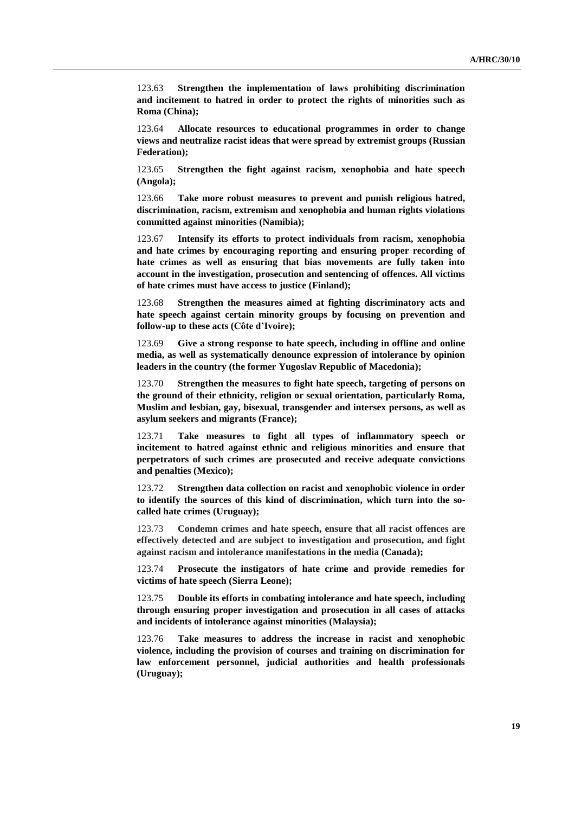123.63 **Strengthen the implementation of laws prohibiting discrimination and incitement to hatred in order to protect the rights of minorities such as Roma (China);**

123.64 **Allocate resources to educational programmes in order to change views and neutralize racist ideas that were spread by extremist groups (Russian Federation);**

123.65 **Strengthen the fight against racism, xenophobia and hate speech (Angola);**

123.66 **Take more robust measures to prevent and punish religious hatred, discrimination, racism, extremism and xenophobia and human rights violations committed against minorities (Namibia);**

123.67 **Intensify its efforts to protect individuals from racism, xenophobia and hate crimes by encouraging reporting and ensuring proper recording of hate crimes as well as ensuring that bias movements are fully taken into account in the investigation, prosecution and sentencing of offences. All victims of hate crimes must have access to justice (Finland);**

123.68 **Strengthen the measures aimed at fighting discriminatory acts and hate speech against certain minority groups by focusing on prevention and follow-up to these acts (Côte d'Ivoire);**

123.69 **Give a strong response to hate speech, including in offline and online media, as well as systematically denounce expression of intolerance by opinion leaders in the country (the former Yugoslav Republic of Macedonia);**

123.70 **Strengthen the measures to fight hate speech, targeting of persons on the ground of their ethnicity, religion or sexual orientation, particularly Roma, Muslim and lesbian, gay, bisexual, transgender and intersex persons, as well as asylum seekers and migrants (France);**

123.71 **Take measures to fight all types of inflammatory speech or incitement to hatred against ethnic and religious minorities and ensure that perpetrators of such crimes are prosecuted and receive adequate convictions and penalties (Mexico);**

123.72 **Strengthen data collection on racist and xenophobic violence in order to identify the sources of this kind of discrimination, which turn into the socalled hate crimes (Uruguay);**

123.73 **Condemn crimes and hate speech, ensure that all racist offences are effectively detected and are subject to investigation and prosecution, and fight against racism and intolerance manifestations in the media (Canada);**

123.74 **Prosecute the instigators of hate crime and provide remedies for victims of hate speech (Sierra Leone);**

123.75 **Double its efforts in combating intolerance and hate speech, including through ensuring proper investigation and prosecution in all cases of attacks and incidents of intolerance against minorities (Malaysia);**

123.76 **Take measures to address the increase in racist and xenophobic violence, including the provision of courses and training on discrimination for law enforcement personnel, judicial authorities and health professionals (Uruguay);**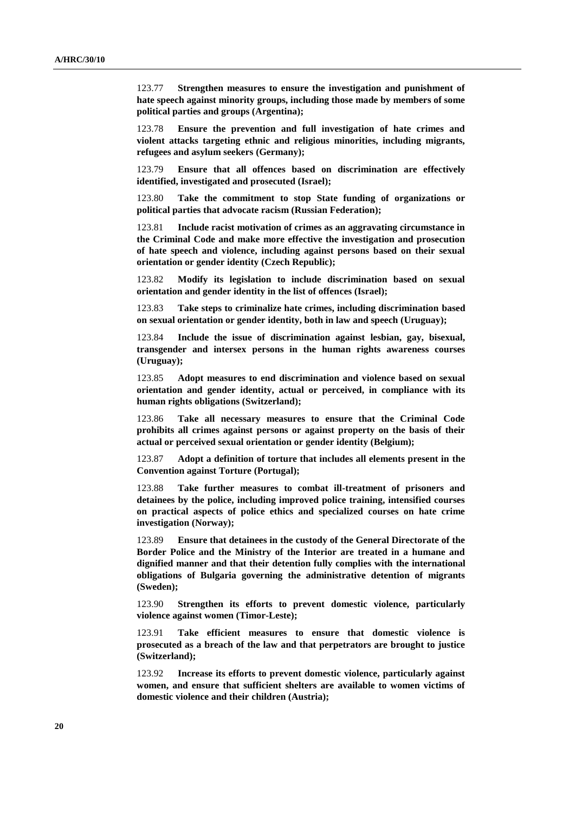123.77 **Strengthen measures to ensure the investigation and punishment of hate speech against minority groups, including those made by members of some political parties and groups (Argentina);**

123.78 **Ensure the prevention and full investigation of hate crimes and violent attacks targeting ethnic and religious minorities, including migrants, refugees and asylum seekers (Germany);**

123.79 **Ensure that all offences based on discrimination are effectively identified, investigated and prosecuted (Israel);**

123.80 **Take the commitment to stop State funding of organizations or political parties that advocate racism (Russian Federation);**

123.81 **Include racist motivation of crimes as an aggravating circumstance in the Criminal Code and make more effective the investigation and prosecution of hate speech and violence, including against persons based on their sexual orientation or gender identity (Czech Republic);**

123.82 **Modify its legislation to include discrimination based on sexual orientation and gender identity in the list of offences (Israel);**

123.83 **Take steps to criminalize hate crimes, including discrimination based on sexual orientation or gender identity, both in law and speech (Uruguay);** 

123.84 **Include the issue of discrimination against lesbian, gay, bisexual, transgender and intersex persons in the human rights awareness courses (Uruguay);**

123.85 **Adopt measures to end discrimination and violence based on sexual orientation and gender identity, actual or perceived, in compliance with its human rights obligations (Switzerland);**

123.86 **Take all necessary measures to ensure that the Criminal Code prohibits all crimes against persons or against property on the basis of their actual or perceived sexual orientation or gender identity (Belgium);**

123.87 **Adopt a definition of torture that includes all elements present in the Convention against Torture (Portugal);**

123.88 **Take further measures to combat ill-treatment of prisoners and detainees by the police, including improved police training, intensified courses on practical aspects of police ethics and specialized courses on hate crime investigation (Norway);**

123.89 **Ensure that detainees in the custody of the General Directorate of the Border Police and the Ministry of the Interior are treated in a humane and dignified manner and that their detention fully complies with the international obligations of Bulgaria governing the administrative detention of migrants (Sweden);**

123.90 **Strengthen its efforts to prevent domestic violence, particularly violence against women (Timor-Leste);**

123.91 **Take efficient measures to ensure that domestic violence is prosecuted as a breach of the law and that perpetrators are brought to justice (Switzerland);**

123.92 **Increase its efforts to prevent domestic violence, particularly against women, and ensure that sufficient shelters are available to women victims of domestic violence and their children (Austria);**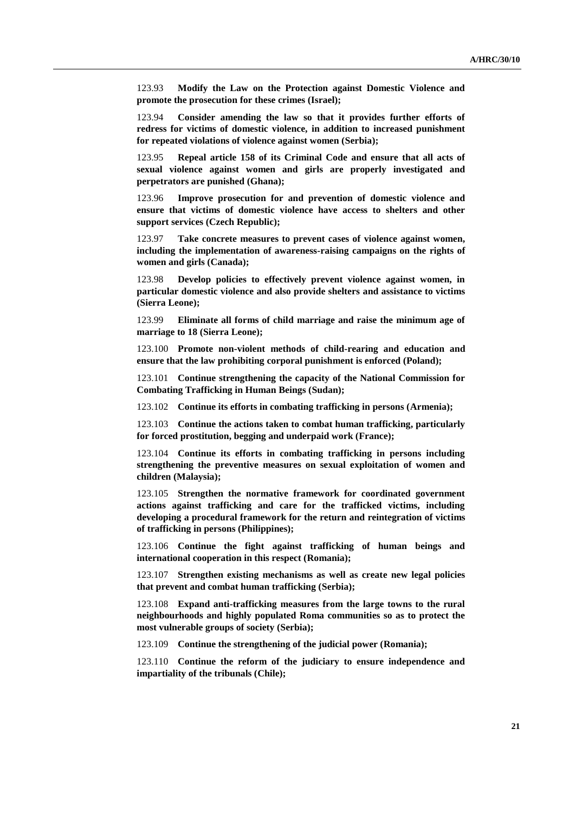123.93 **Modify the Law on the Protection against Domestic Violence and promote the prosecution for these crimes (Israel);**

123.94 **Consider amending the law so that it provides further efforts of redress for victims of domestic violence, in addition to increased punishment for repeated violations of violence against women (Serbia);**

123.95 **Repeal article 158 of its Criminal Code and ensure that all acts of sexual violence against women and girls are properly investigated and perpetrators are punished (Ghana);**

123.96 **Improve prosecution for and prevention of domestic violence and ensure that victims of domestic violence have access to shelters and other support services (Czech Republic);**

123.97 **Take concrete measures to prevent cases of violence against women, including the implementation of awareness-raising campaigns on the rights of women and girls (Canada);**

123.98 **Develop policies to effectively prevent violence against women, in particular domestic violence and also provide shelters and assistance to victims (Sierra Leone);**

123.99 **Eliminate all forms of child marriage and raise the minimum age of marriage to 18 (Sierra Leone);**

123.100 **Promote non-violent methods of child-rearing and education and ensure that the law prohibiting corporal punishment is enforced (Poland);**

123.101 **Continue strengthening the capacity of the National Commission for Combating Trafficking in Human Beings (Sudan);**

123.102 **Continue its efforts in combating trafficking in persons (Armenia);**

123.103 **Continue the actions taken to combat human trafficking, particularly for forced prostitution, begging and underpaid work (France);**

123.104 **Continue its efforts in combating trafficking in persons including strengthening the preventive measures on sexual exploitation of women and children (Malaysia);**

123.105 **Strengthen the normative framework for coordinated government actions against trafficking and care for the trafficked victims, including developing a procedural framework for the return and reintegration of victims of trafficking in persons (Philippines);**

123.106 **Continue the fight against trafficking of human beings and international cooperation in this respect (Romania);**

123.107 **Strengthen existing mechanisms as well as create new legal policies that prevent and combat human trafficking (Serbia);**

123.108 **Expand anti-trafficking measures from the large towns to the rural neighbourhoods and highly populated Roma communities so as to protect the most vulnerable groups of society (Serbia);**

123.109 **Continue the strengthening of the judicial power (Romania);**

123.110 **Continue the reform of the judiciary to ensure independence and impartiality of the tribunals (Chile);**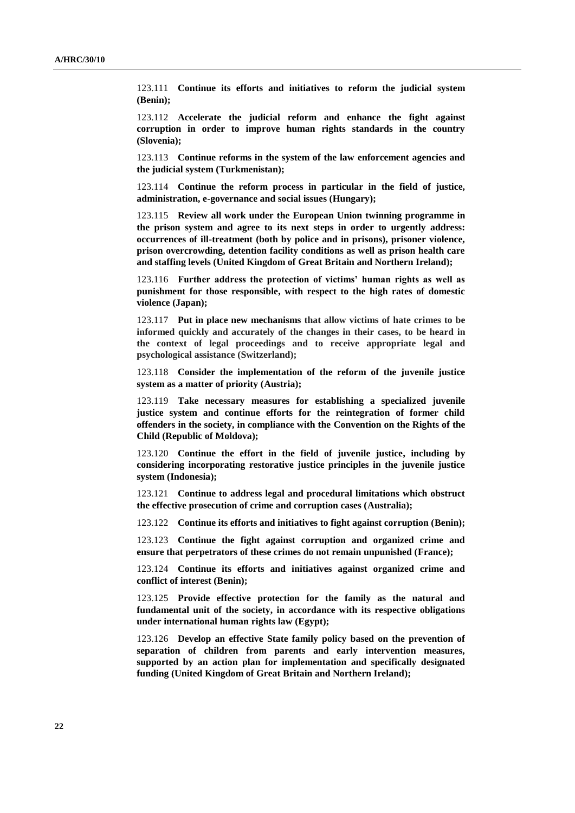123.111 **Continue its efforts and initiatives to reform the judicial system (Benin);**

123.112 **Accelerate the judicial reform and enhance the fight against corruption in order to improve human rights standards in the country (Slovenia);**

123.113 **Continue reforms in the system of the law enforcement agencies and the judicial system (Turkmenistan);**

123.114 **Continue the reform process in particular in the field of justice, administration, e-governance and social issues (Hungary);**

123.115 **Review all work under the European Union twinning programme in the prison system and agree to its next steps in order to urgently address: occurrences of ill-treatment (both by police and in prisons), prisoner violence, prison overcrowding, detention facility conditions as well as prison health care and staffing levels (United Kingdom of Great Britain and Northern Ireland);**

123.116 **Further address the protection of victims' human rights as well as punishment for those responsible, with respect to the high rates of domestic violence (Japan);**

123.117 **Put in place new mechanisms that allow victims of hate crimes to be informed quickly and accurately of the changes in their cases, to be heard in the context of legal proceedings and to receive appropriate legal and psychological assistance (Switzerland);**

123.118 **Consider the implementation of the reform of the juvenile justice system as a matter of priority (Austria);**

123.119 **Take necessary measures for establishing a specialized juvenile justice system and continue efforts for the reintegration of former child offenders in the society, in compliance with the Convention on the Rights of the Child (Republic of Moldova);**

123.120 **Continue the effort in the field of juvenile justice, including by considering incorporating restorative justice principles in the juvenile justice system (Indonesia);**

123.121 **Continue to address legal and procedural limitations which obstruct the effective prosecution of crime and corruption cases (Australia);**

123.122 **Continue its efforts and initiatives to fight against corruption (Benin);**

123.123 **Continue the fight against corruption and organized crime and ensure that perpetrators of these crimes do not remain unpunished (France);**

123.124 **Continue its efforts and initiatives against organized crime and conflict of interest (Benin);**

123.125 **Provide effective protection for the family as the natural and fundamental unit of the society, in accordance with its respective obligations under international human rights law (Egypt);**

123.126 **Develop an effective State family policy based on the prevention of separation of children from parents and early intervention measures, supported by an action plan for implementation and specifically designated funding (United Kingdom of Great Britain and Northern Ireland);**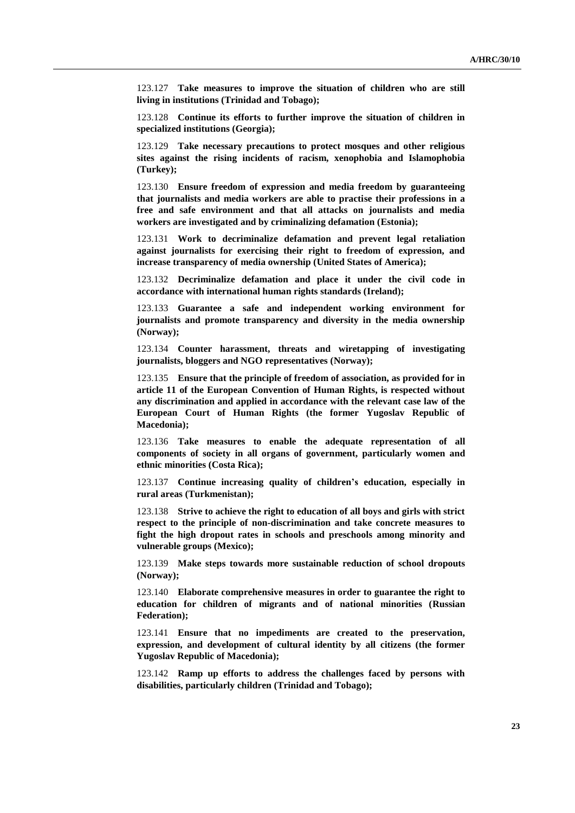123.127 **Take measures to improve the situation of children who are still living in institutions (Trinidad and Tobago);**

123.128 **Continue its efforts to further improve the situation of children in specialized institutions (Georgia);**

123.129 **Take necessary precautions to protect mosques and other religious sites against the rising incidents of racism, xenophobia and Islamophobia (Turkey);**

123.130 **Ensure freedom of expression and media freedom by guaranteeing that journalists and media workers are able to practise their professions in a free and safe environment and that all attacks on journalists and media workers are investigated and by criminalizing defamation (Estonia);**

123.131 **Work to decriminalize defamation and prevent legal retaliation against journalists for exercising their right to freedom of expression, and increase transparency of media ownership (United States of America);**

123.132 **Decriminalize defamation and place it under the civil code in accordance with international human rights standards (Ireland);**

123.133 **Guarantee a safe and independent working environment for journalists and promote transparency and diversity in the media ownership (Norway);**

123.134 **Counter harassment, threats and wiretapping of investigating journalists, bloggers and NGO representatives (Norway);**

123.135 **Ensure that the principle of freedom of association, as provided for in article 11 of the European Convention of Human Rights, is respected without any discrimination and applied in accordance with the relevant case law of the European Court of Human Rights (the former Yugoslav Republic of Macedonia);**

123.136 **Take measures to enable the adequate representation of all components of society in all organs of government, particularly women and ethnic minorities (Costa Rica);**

123.137 **Continue increasing quality of children's education, especially in rural areas (Turkmenistan);**

123.138 **Strive to achieve the right to education of all boys and girls with strict respect to the principle of non-discrimination and take concrete measures to fight the high dropout rates in schools and preschools among minority and vulnerable groups (Mexico);**

123.139 **Make steps towards more sustainable reduction of school dropouts (Norway);**

123.140 **Elaborate comprehensive measures in order to guarantee the right to education for children of migrants and of national minorities (Russian Federation);**

123.141 **Ensure that no impediments are created to the preservation, expression, and development of cultural identity by all citizens (the former Yugoslav Republic of Macedonia);**

123.142 **Ramp up efforts to address the challenges faced by persons with disabilities, particularly children (Trinidad and Tobago);**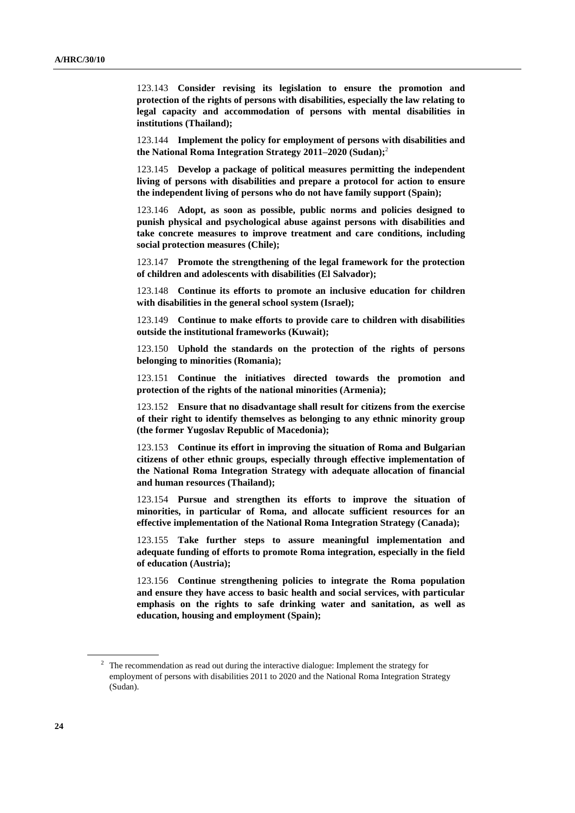123.143 **Consider revising its legislation to ensure the promotion and protection of the rights of persons with disabilities, especially the law relating to legal capacity and accommodation of persons with mental disabilities in institutions (Thailand);**

123.144 **Implement the policy for employment of persons with disabilities and the National Roma Integration Strategy 2011–2020 (Sudan);** 2

123.145 **Develop a package of political measures permitting the independent living of persons with disabilities and prepare a protocol for action to ensure the independent living of persons who do not have family support (Spain);**

123.146 **Adopt, as soon as possible, public norms and policies designed to punish physical and psychological abuse against persons with disabilities and take concrete measures to improve treatment and care conditions, including social protection measures (Chile);**

123.147 **Promote the strengthening of the legal framework for the protection of children and adolescents with disabilities (El Salvador);**

123.148 **Continue its efforts to promote an inclusive education for children with disabilities in the general school system (Israel);**

123.149 **Continue to make efforts to provide care to children with disabilities outside the institutional frameworks (Kuwait);**

123.150 **Uphold the standards on the protection of the rights of persons belonging to minorities (Romania);**

123.151 **Continue the initiatives directed towards the promotion and protection of the rights of the national minorities (Armenia);**

123.152 **Ensure that no disadvantage shall result for citizens from the exercise of their right to identify themselves as belonging to any ethnic minority group (the former Yugoslav Republic of Macedonia);**

123.153 **Continue its effort in improving the situation of Roma and Bulgarian citizens of other ethnic groups, especially through effective implementation of the National Roma Integration Strategy with adequate allocation of financial and human resources (Thailand);**

123.154 **Pursue and strengthen its efforts to improve the situation of minorities, in particular of Roma, and allocate sufficient resources for an effective implementation of the National Roma Integration Strategy (Canada);** 

123.155 **Take further steps to assure meaningful implementation and adequate funding of efforts to promote Roma integration, especially in the field of education (Austria);**

123.156 **Continue strengthening policies to integrate the Roma population and ensure they have access to basic health and social services, with particular emphasis on the rights to safe drinking water and sanitation, as well as education, housing and employment (Spain);**

<sup>&</sup>lt;sup>2</sup> The recommendation as read out during the interactive dialogue: Implement the strategy for employment of persons with disabilities 2011 to 2020 and the National Roma Integration Strategy (Sudan).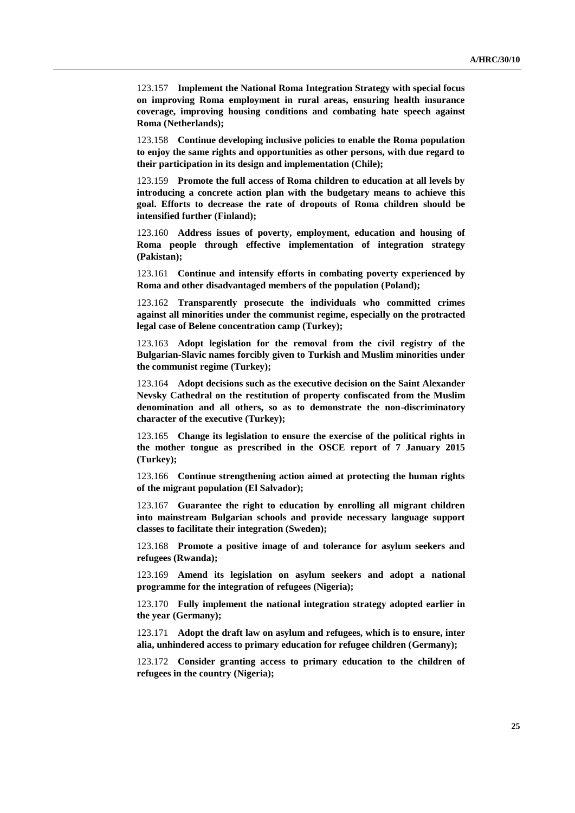123.157 **Implement the National Roma Integration Strategy with special focus on improving Roma employment in rural areas, ensuring health insurance coverage, improving housing conditions and combating hate speech against Roma (Netherlands);**

123.158 **Continue developing inclusive policies to enable the Roma population to enjoy the same rights and opportunities as other persons, with due regard to their participation in its design and implementation (Chile);**

123.159 **Promote the full access of Roma children to education at all levels by introducing a concrete action plan with the budgetary means to achieve this goal. Efforts to decrease the rate of dropouts of Roma children should be intensified further (Finland);**

123.160 **Address issues of poverty, employment, education and housing of Roma people through effective implementation of integration strategy (Pakistan);**

123.161 **Continue and intensify efforts in combating poverty experienced by Roma and other disadvantaged members of the population (Poland);**

123.162 **Transparently prosecute the individuals who committed crimes against all minorities under the communist regime, especially on the protracted legal case of Belene concentration camp (Turkey);**

123.163 **Adopt legislation for the removal from the civil registry of the Bulgarian-Slavic names forcibly given to Turkish and Muslim minorities under the communist regime (Turkey);**

123.164 **Adopt decisions such as the executive decision on the Saint Alexander Nevsky Cathedral on the restitution of property confiscated from the Muslim denomination and all others, so as to demonstrate the non-discriminatory character of the executive (Turkey);**

123.165 **Change its legislation to ensure the exercise of the political rights in the mother tongue as prescribed in the OSCE report of 7 January 2015 (Turkey);**

123.166 **Continue strengthening action aimed at protecting the human rights of the migrant population (El Salvador);**

123.167 **Guarantee the right to education by enrolling all migrant children into mainstream Bulgarian schools and provide necessary language support classes to facilitate their integration (Sweden);**

123.168 **Promote a positive image of and tolerance for asylum seekers and refugees (Rwanda);**

123.169 **Amend its legislation on asylum seekers and adopt a national programme for the integration of refugees (Nigeria);**

123.170 **Fully implement the national integration strategy adopted earlier in the year (Germany);**

123.171 **Adopt the draft law on asylum and refugees, which is to ensure, inter alia, unhindered access to primary education for refugee children (Germany);**

123.172 **Consider granting access to primary education to the children of refugees in the country (Nigeria);**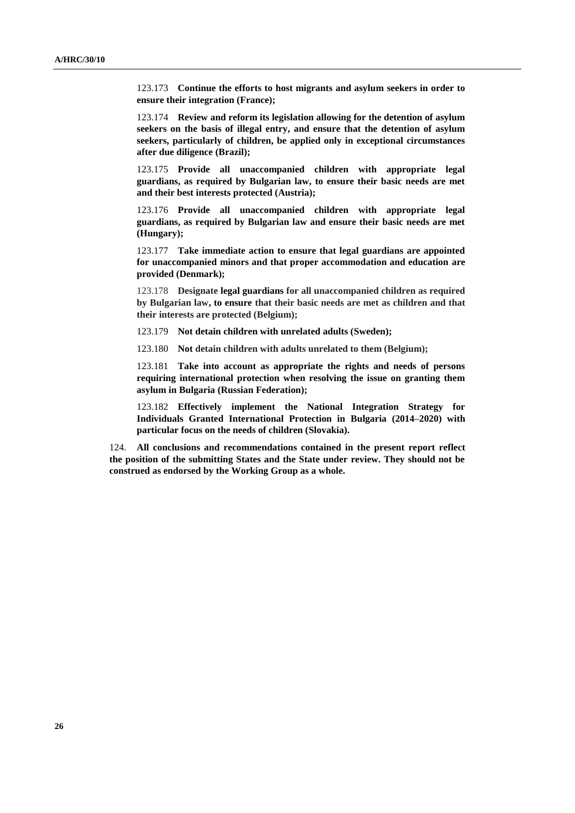123.173 **Continue the efforts to host migrants and asylum seekers in order to ensure their integration (France);**

123.174 **Review and reform its legislation allowing for the detention of asylum seekers on the basis of illegal entry, and ensure that the detention of asylum seekers, particularly of children, be applied only in exceptional circumstances after due diligence (Brazil);**

123.175 **Provide all unaccompanied children with appropriate legal guardians, as required by Bulgarian law, to ensure their basic needs are met and their best interests protected (Austria);**

123.176 **Provide all unaccompanied children with appropriate legal guardians, as required by Bulgarian law and ensure their basic needs are met (Hungary);**

123.177 **Take immediate action to ensure that legal guardians are appointed for unaccompanied minors and that proper accommodation and education are provided (Denmark);**

123.178 **Designate legal guardians for all unaccompanied children as required by Bulgarian law, to ensure that their basic needs are met as children and that their interests are protected (Belgium);**

123.179 **Not detain children with unrelated adults (Sweden);**

123.180 **Not detain children with adults unrelated to them (Belgium);**

123.181 **Take into account as appropriate the rights and needs of persons requiring international protection when resolving the issue on granting them asylum in Bulgaria (Russian Federation);**

123.182 **Effectively implement the National Integration Strategy for Individuals Granted International Protection in Bulgaria (2014–2020) with particular focus on the needs of children (Slovakia).**

124. **All conclusions and recommendations contained in the present report reflect the position of the submitting States and the State under review. They should not be construed as endorsed by the Working Group as a whole.**